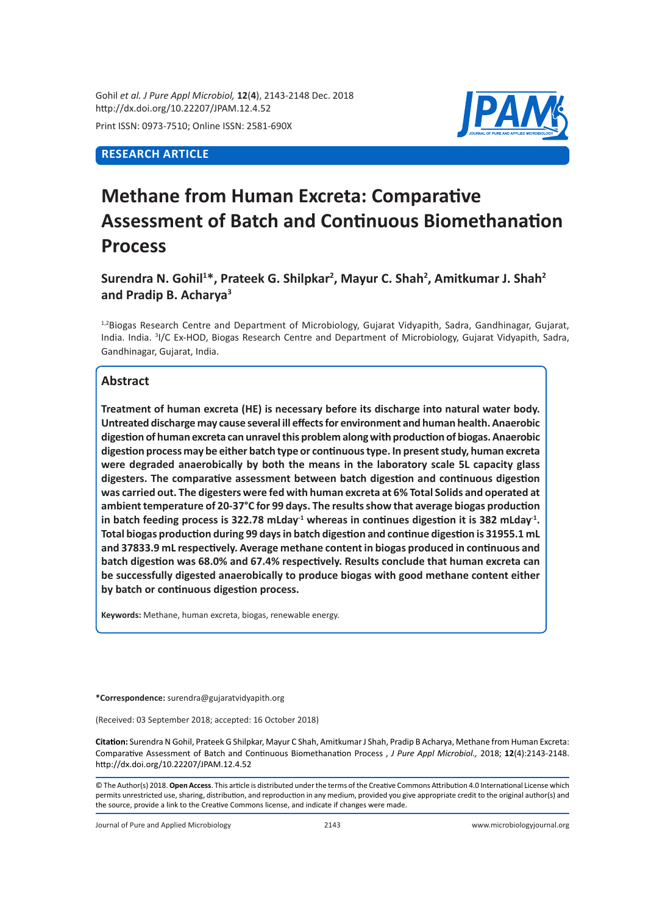Gohil *et al. J Pure Appl Microbiol,* **12**(**4**), 2143-2148 Dec. 2018 http://dx.doi.org/10.22207/JPAM.12.4.52

Print ISSN: 0973-7510; Online ISSN: 2581-690X

## **RESEARCH ARTICLE**



# **Methane from Human Excreta: Comparative Assessment of Batch and Continuous Biomethanation Process**

Surendra N. Gohil<sup>1\*</sup>, Prateek G. Shilpkar<sup>2</sup>, Mayur C. Shah<sup>2</sup>, Amitkumar J. Shah<sup>2</sup> **and Pradip B. Acharya3**

<sup>1,2</sup>Biogas Research Centre and Department of Microbiology, Gujarat Vidyapith, Sadra, Gandhinagar, Gujarat, India. India. <sup>3</sup>I/C Ex-HOD, Biogas Research Centre and Department of Microbiology, Gujarat Vidyapith, Sadra, Gandhinagar, Gujarat, India.

## **Abstract**

**Treatment of human excreta (HE) is necessary before its discharge into natural water body. Untreated discharge may cause several ill effects for environment and human health. Anaerobic digestion of human excreta can unravel this problem along with production of biogas. Anaerobic digestion process may be either batch type or continuous type. In present study, human excreta were degraded anaerobically by both the means in the laboratory scale 5L capacity glass digesters. The comparative assessment between batch digestion and continuous digestion was carried out. The digesters were fed with human excreta at 6% Total Solids and operated at ambient temperature of 20-37°C for 99 days. The results show that average biogas production in batch feeding process is 322.78 mLday-1 whereas in continues digestion it is 382 mLday-1. Total biogas production during 99 days in batch digestion and continue digestion is 31955.1 mL and 37833.9 mL respectively. Average methane content in biogas produced in continuous and batch digestion was 68.0% and 67.4% respectively. Results conclude that human excreta can be successfully digested anaerobically to produce biogas with good methane content either by batch or continuous digestion process.**

**Keywords:** Methane, human excreta, biogas, renewable energy.

**\*Correspondence:** surendra@gujaratvidyapith.org

(Received: 03 September 2018; accepted: 16 October 2018)

**Citation:** Surendra N Gohil, Prateek G Shilpkar, Mayur C Shah, Amitkumar J Shah, Pradip B Acharya, Methane from Human Excreta: Comparative Assessment of Batch and Continuous Biomethanation Process , *J Pure Appl Microbiol.,* 2018; **12**(4):2143-2148. http://dx.doi.org/10.22207/JPAM.12.4.52

© The Author(s) 2018. **Open Access**. This article is distributed under the terms of the Creative Commons Attribution 4.0 International License which permits unrestricted use, sharing, distribution, and reproduction in any medium, provided you give appropriate credit to the original author(s) and the source, provide a link to the Creative Commons license, and indicate if changes were made.

Journal of Pure and Applied Microbiology 2143 www.microbiologyjournal.org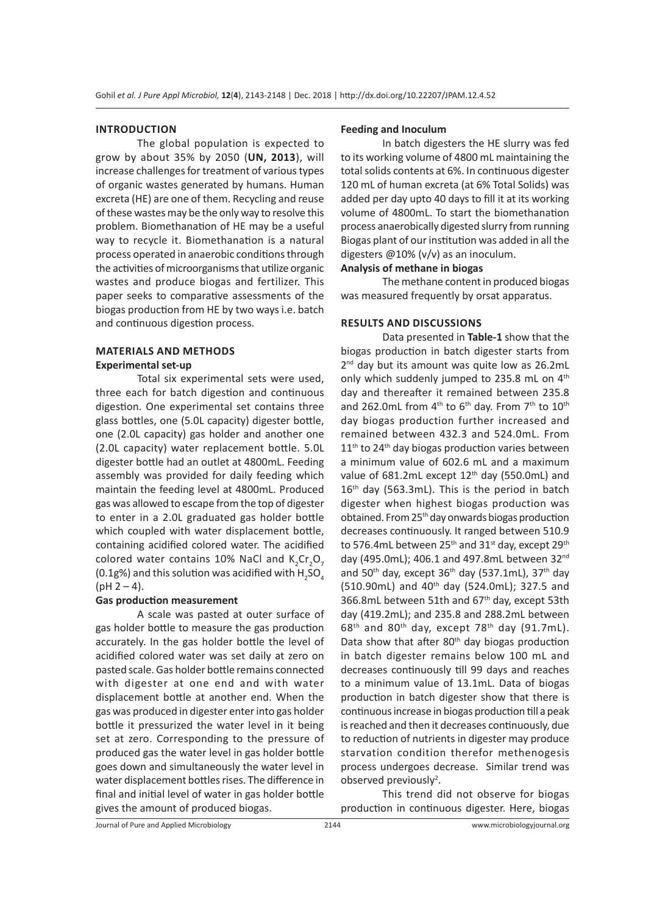### **INTRODUCTION**

The global population is expected to grow by about 35% by 2050 (**UN, 2013**), will increase challenges for treatment of various types of organic wastes generated by humans. Human excreta (HE) are one of them. Recycling and reuse of these wastes may be the only way to resolve this problem. Biomethanation of HE may be a useful way to recycle it. Biomethanation is a natural process operated in anaerobic conditions through the activities of microorganisms that utilize organic wastes and produce biogas and fertilizer. This paper seeks to comparative assessments of the biogas production from HE by two ways i.e. batch and continuous digestion process.

## **MATERIALS AND METHODS Experimental set-up**

Total six experimental sets were used, three each for batch digestion and continuous digestion. One experimental set contains three glass bottles, one (5.0L capacity) digester bottle, one (2.0L capacity) gas holder and another one (2.0L capacity) water replacement bottle. 5.0L digester bottle had an outlet at 4800mL. Feeding assembly was provided for daily feeding which maintain the feeding level at 4800mL. Produced gas was allowed to escape from the top of digester to enter in a 2.0L graduated gas holder bottle which coupled with water displacement bottle, containing acidified colored water. The acidified colored water contains 10% NaCl and  $K_2$ Cr<sub>2</sub>O<sub>7</sub> (0.1g%) and this solution was acidified with  $H_2$ SO<sub>4</sub>  $(pH 2 - 4)$ .

#### **Gas production measurement**

A scale was pasted at outer surface of gas holder bottle to measure the gas production accurately. In the gas holder bottle the level of acidified colored water was set daily at zero on pasted scale. Gas holder bottle remains connected with digester at one end and with water displacement bottle at another end. When the gas was produced in digester enter into gas holder bottle it pressurized the water level in it being set at zero. Corresponding to the pressure of produced gas the water level in gas holder bottle goes down and simultaneously the water level in water displacement bottles rises. The difference in final and initial level of water in gas holder bottle gives the amount of produced biogas.

#### **Feeding and Inoculum**

In batch digesters the HE slurry was fed to its working volume of 4800 mL maintaining the total solids contents at 6%. In continuous digester 120 mL of human excreta (at 6% Total Solids) was added per day upto 40 days to fill it at its working volume of 4800mL. To start the biomethanation process anaerobically digested slurry from running Biogas plant of our institution was added in all the digesters @10% (v/v) as an inoculum.

## **Analysis of methane in biogas**

The methane content in produced biogas was measured frequently by orsat apparatus.

## **RESULTS AND DISCUSSIONS**

Data presented in **Table-1** show that the biogas production in batch digester starts from 2<sup>nd</sup> day but its amount was quite low as 26.2mL only which suddenly jumped to 235.8 mL on 4<sup>th</sup> day and thereafter it remained between 235.8 and 262.0mL from  $4^{th}$  to  $6^{th}$  day. From  $7^{th}$  to  $10^{th}$ day biogas production further increased and remained between 432.3 and 524.0mL. From  $11<sup>th</sup>$  to 24<sup>th</sup> day biogas production varies between a minimum value of 602.6 mL and a maximum value of 681.2mL except 12<sup>th</sup> day (550.0mL) and 16<sup>th</sup> day (563.3mL). This is the period in batch digester when highest biogas production was obtained. From 25th day onwards biogas production decreases continuously. It ranged between 510.9 to 576.4mL between 25<sup>th</sup> and 31<sup>st</sup> day, except 29<sup>th</sup> day (495.0mL); 406.1 and 497.8mL between 32nd and 50<sup>th</sup> day, except  $36<sup>th</sup>$  day (537.1mL),  $37<sup>th</sup>$  day (510.90mL) and 40<sup>th</sup> day (524.0mL); 327.5 and 366.8mL between 51th and 67th day, except 53th day (419.2mL); and 235.8 and 288.2mL between  $68<sup>th</sup>$  and  $80<sup>th</sup>$  day, except 78<sup>th</sup> day (91.7mL). Data show that after 80<sup>th</sup> day biogas production in batch digester remains below 100 mL and decreases continuously till 99 days and reaches to a minimum value of 13.1mL. Data of biogas production in batch digester show that there is continuous increase in biogas production till a peak is reached and then it decreases continuously, due to reduction of nutrients in digester may produce starvation condition therefor methenogesis process undergoes decrease. Similar trend was observed previously<sup>2</sup>.

This trend did not observe for biogas production in continuous digester. Here, biogas

Journal of Pure and Applied Microbiology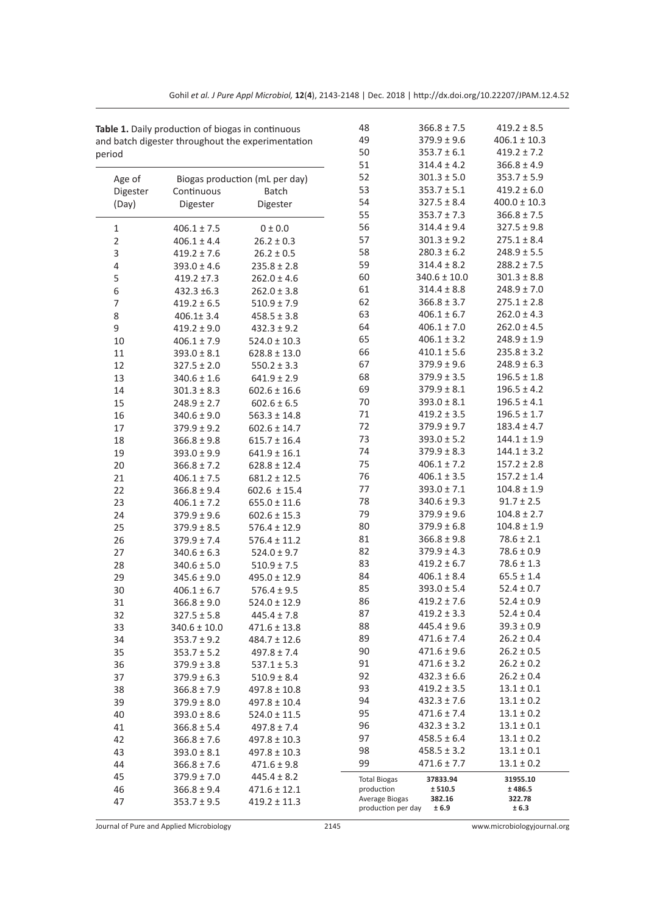|                | Table 1. Daily production of biogas in continuous |                                                   |                                      | $366.8 \pm 7.5$     | $419.2 \pm 8.5$    |
|----------------|---------------------------------------------------|---------------------------------------------------|--------------------------------------|---------------------|--------------------|
|                |                                                   | and batch digester throughout the experimentation | 49                                   | $379.9 \pm 9.6$     | $406.1 \pm 10.3$   |
| period         |                                                   |                                                   | 50                                   | $353.7 \pm 6.1$     | $419.2 \pm 7.2$    |
|                |                                                   |                                                   | 51                                   | $314.4 \pm 4.2$     | $366.8 \pm 4.9$    |
| Age of         |                                                   | Biogas production (mL per day)                    | 52                                   | $301.3 \pm 5.0$     | $353.7 \pm 5.9$    |
| Digester       | Continuous                                        | <b>Batch</b>                                      | 53                                   | $353.7 \pm 5.1$     | $419.2 \pm 6.0$    |
| (Day)          | Digester                                          | Digester                                          | 54                                   | $327.5 \pm 8.4$     | $400.0 \pm 10.3$   |
|                |                                                   |                                                   | 55                                   | $353.7 \pm 7.3$     | $366.8 \pm 7.5$    |
| $\mathbf{1}$   | $406.1 \pm 7.5$                                   | 0 ± 0.0                                           | 56                                   | $314.4 \pm 9.4$     | $327.5 \pm 9.8$    |
| $\overline{2}$ | $406.1 \pm 4.4$                                   | $26.2 \pm 0.3$                                    | 57                                   | $301.3 \pm 9.2$     | $275.1 \pm 8.4$    |
| 3              | $419.2 \pm 7.6$                                   | $26.2 \pm 0.5$                                    | 58                                   | $280.3 \pm 6.2$     | $248.9 \pm 5.5$    |
| $\sqrt{4}$     | $393.0 \pm 4.6$                                   | $235.8 \pm 2.8$                                   | 59                                   | $314.4 \pm 8.2$     | $288.2 \pm 7.5$    |
| 5              | $419.2 \pm 7.3$                                   | $262.0 \pm 4.6$                                   | 60                                   | $340.6 \pm 10.0$    | $301.3 \pm 8.8$    |
| 6              | $432.3 \pm 6.3$                                   | $262.0 \pm 3.8$                                   | 61                                   | $314.4 \pm 8.8$     | $248.9 \pm 7.0$    |
| 7              | $419.2 \pm 6.5$                                   | $510.9 \pm 7.9$                                   | 62                                   | $366.8 \pm 3.7$     | $275.1 \pm 2.8$    |
| 8              | $406.1 \pm 3.4$                                   | $458.5 \pm 3.8$                                   | 63                                   | $406.1 \pm 6.7$     | $262.0 \pm 4.3$    |
| 9              | $419.2 \pm 9.0$                                   | $432.3 \pm 9.2$                                   | 64                                   | $406.1 \pm 7.0$     | $262.0 \pm 4.5$    |
| 10             | $406.1 \pm 7.9$                                   | $524.0 \pm 10.3$                                  | 65                                   | $406.1 \pm 3.2$     | $248.9 \pm 1.9$    |
| 11             | $393.0 \pm 8.1$                                   | $628.8 \pm 13.0$                                  | 66                                   | $410.1 \pm 5.6$     | $235.8 \pm 3.2$    |
| 12             | $327.5 \pm 2.0$                                   | $550.2 \pm 3.3$                                   | 67                                   | $379.9 \pm 9.6$     | $248.9 \pm 6.3$    |
| 13             | $340.6 \pm 1.6$                                   | $641.9 \pm 2.9$                                   | 68                                   | $379.9 \pm 3.5$     | $196.5 \pm 1.8$    |
| 14             | $301.3 \pm 8.3$                                   | $602.6 \pm 16.6$                                  | 69                                   | $379.9 \pm 8.1$     | $196.5 \pm 4.2$    |
| 15             | $248.9 \pm 2.7$                                   | $602.6 \pm 6.5$                                   | 70                                   | $393.0 \pm 8.1$     | $196.5 \pm 4.1$    |
| 16             | $340.6 \pm 9.0$                                   | $563.3 \pm 14.8$                                  | 71                                   | $419.2 \pm 3.5$     | $196.5 \pm 1.7$    |
| 17             | $379.9 \pm 9.2$                                   | $602.6 \pm 14.7$                                  | 72                                   | $379.9 \pm 9.7$     | $183.4 \pm 4.7$    |
| 18             | $366.8 \pm 9.8$                                   | $615.7 \pm 16.4$                                  | 73                                   | $393.0 \pm 5.2$     | $144.1 \pm 1.9$    |
| 19             | $393.0 \pm 9.9$                                   | $641.9 \pm 16.1$                                  | 74                                   | $379.9 \pm 8.3$     | $144.1 \pm 3.2$    |
| 20             | $366.8 \pm 7.2$                                   | $628.8 \pm 12.4$                                  | 75                                   | $406.1 \pm 7.2$     | $157.2 \pm 2.8$    |
| 21             | $406.1 \pm 7.5$                                   | $681.2 \pm 12.5$                                  | 76                                   | $406.1 \pm 3.5$     | $157.2 \pm 1.4$    |
| 22             | $366.8 \pm 9.4$                                   | $602.6 \pm 15.4$                                  | 77                                   | $393.0 \pm 7.1$     | $104.8 \pm 1.9$    |
| 23             | $406.1 \pm 7.2$                                   | $655.0 \pm 11.6$                                  | 78                                   | $340.6 \pm 9.3$     | $91.7 \pm 2.5$     |
| 24             | $379.9 \pm 9.6$                                   | $602.6 \pm 15.3$                                  | 79                                   | $379.9 \pm 9.6$     | $104.8 \pm 2.7$    |
| 25             | $379.9 \pm 8.5$                                   | $576.4 \pm 12.9$                                  | 80                                   | $379.9 \pm 6.8$     | $104.8 \pm 1.9$    |
| 26             | $379.9 \pm 7.4$                                   | $576.4 \pm 11.2$                                  | 81                                   | $366.8 \pm 9.8$     | $78.6 \pm 2.1$     |
| 27             | $340.6 \pm 6.3$                                   | $524.0 \pm 9.7$                                   | 82                                   | $379.9 \pm 4.3$     | $78.6 \pm 0.9$     |
| 28             | $340.6 \pm 5.0$                                   | $510.9 \pm 7.5$                                   | 83                                   | $419.2 \pm 6.7$     | $78.6 \pm 1.3$     |
| 29             | $345.6 \pm 9.0$                                   | $495.0 \pm 12.9$                                  | 84                                   | $406.1 \pm 8.4$     | $65.5 \pm 1.4$     |
| 30             | $406.1 \pm 6.7$                                   | $576.4 \pm 9.5$                                   | 85                                   | $393.0 \pm 5.4$     | $52.4 \pm 0.7$     |
| 31             | $366.8 \pm 9.0$                                   | $524.0 \pm 12.9$                                  | 86                                   | $419.2 \pm 7.6$     | $52.4 \pm 0.9$     |
| 32             | $327.5 \pm 5.8$                                   | $445.4 \pm 7.8$                                   | 87                                   | $419.2 \pm 3.3$     | $52.4 \pm 0.4$     |
| 33             | $340.6 \pm 10.0$                                  | $471.6 \pm 13.8$                                  | 88                                   | $445.4 \pm 9.6$     | $39.3 \pm 0.9$     |
| 34             | $353.7 \pm 9.2$                                   | $484.7 \pm 12.6$                                  | 89                                   | $471.6 \pm 7.4$     | $26.2 \pm 0.4$     |
| 35             | $353.7 \pm 5.2$                                   | $497.8 \pm 7.4$                                   | 90                                   | $471.6 \pm 9.6$     | $26.2 \pm 0.5$     |
| 36             | $379.9 \pm 3.8$                                   | $537.1 \pm 5.3$                                   | 91                                   | $471.6 \pm 3.2$     | $26.2 \pm 0.2$     |
| 37             | $379.9 \pm 6.3$                                   | $510.9 \pm 8.4$                                   | 92                                   | $432.3 \pm 6.6$     | $26.2 \pm 0.4$     |
| 38             | $366.8 \pm 7.9$                                   | $497.8 \pm 10.8$                                  | 93                                   | $419.2 \pm 3.5$     | $13.1 \pm 0.1$     |
| 39             | $379.9 \pm 8.0$                                   | 497.8 ± 10.4                                      | 94                                   | $432.3 \pm 7.6$     | $13.1 \pm 0.2$     |
| 40             | $393.0 \pm 8.6$                                   | $524.0 \pm 11.5$                                  | 95                                   | $471.6 \pm 7.4$     | $13.1 \pm 0.2$     |
| 41             | $366.8 \pm 5.4$                                   | $497.8 \pm 7.4$                                   | 96                                   | $432.3 \pm 3.2$     | $13.1 \pm 0.1$     |
| 42             | $366.8 \pm 7.6$                                   | $497.8 \pm 10.3$                                  | 97                                   | $458.5 \pm 6.4$     | $13.1 \pm 0.2$     |
| 43             | $393.0 \pm 8.1$                                   | 497.8 ± 10.3                                      | 98                                   | $458.5 \pm 3.2$     | $13.1 \pm 0.1$     |
| 44             | $366.8 \pm 7.6$                                   | $471.6 \pm 9.8$                                   | 99                                   | $471.6 \pm 7.7$     | $13.1 \pm 0.2$     |
| 45             | $379.9 \pm 7.0$                                   | $445.4 \pm 8.2$                                   |                                      |                     |                    |
| 46             | $366.8 \pm 9.4$                                   | $471.6 \pm 12.1$                                  | <b>Total Biogas</b><br>production    | 37833.94<br>± 510.5 | 31955.10<br>±486.5 |
| 47             | $353.7 \pm 9.5$                                   | $419.2 \pm 11.3$                                  | Average Biogas<br>production per day | 382.16<br>± 6.9     | 322.78<br>± 6.3    |

Journal of Pure and Applied Microbiology 2145 www.microbiologyjournal.org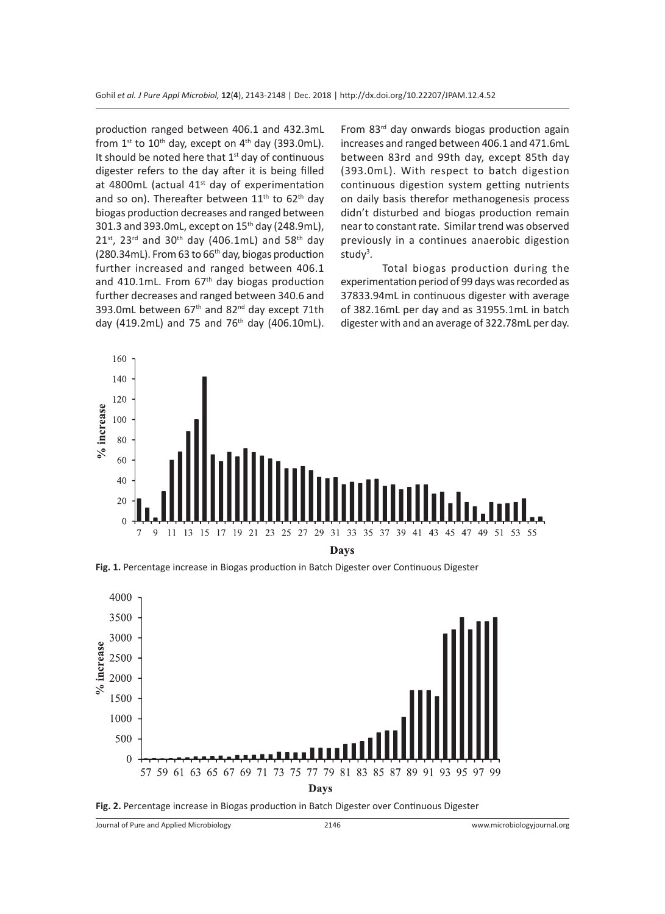production ranged between 406.1 and 432.3mL from  $1^{st}$  to  $10^{th}$  day, except on  $4^{th}$  day (393.0mL). It should be noted here that 1<sup>st</sup> day of continuous digester refers to the day after it is being filled at 4800mL (actual  $41<sup>st</sup>$  day of experimentation and so on). Thereafter between  $11<sup>th</sup>$  to  $62<sup>th</sup>$  day biogas production decreases and ranged between 301.3 and 393.0mL, except on 15<sup>th</sup> day (248.9mL),  $21^{st}$ , 23<sup>rd</sup> and 30<sup>th</sup> day (406.1mL) and 58<sup>th</sup> day (280.34mL). From 63 to 66th day, biogas production further increased and ranged between 406.1 and 410.1mL. From  $67<sup>th</sup>$  day biogas production further decreases and ranged between 340.6 and 393.0mL between 67<sup>th</sup> and 82<sup>nd</sup> day except 71th day (419.2mL) and 75 and 76<sup>th</sup> day (406.10mL). From 83<sup>rd</sup> day onwards biogas production again increases and ranged between 406.1 and 471.6mL between 83rd and 99th day, except 85th day (393.0mL). With respect to batch digestion continuous digestion system getting nutrients on daily basis therefor methanogenesis process didn't disturbed and biogas production remain near to constant rate. Similar trend was observed previously in a continues anaerobic digestion study<sup>3</sup>.

Total biogas production during the experimentation period of 99 days was recorded as 37833.94mL in continuous digester with average of 382.16mL per day and as 31955.1mL in batch digester with and an average of 322.78mL per day.



**Fig. 1.** Percentage increase in Biogas production in Batch Digester over Continuous Digester



Fig. 2. Percentage increase in Biogas production in Batch Digester over Continuous Digester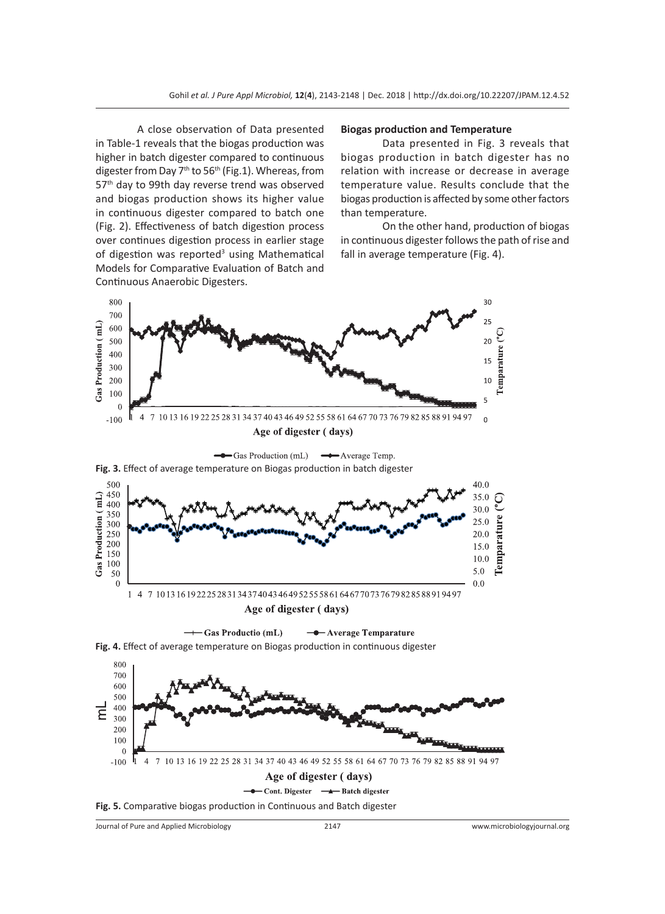A close observation of Data presented in Table-1 reveals that the biogas production was higher in batch digester compared to continuous digester from Day 7<sup>th</sup> to 56<sup>th</sup> (Fig.1). Whereas, from 57<sup>th</sup> day to 99th day reverse trend was observed and biogas production shows its higher value in continuous digester compared to batch one (Fig. 2). Effectiveness of batch digestion process over continues digestion process in earlier stage of digestion was reported<sup>3</sup> using Mathematical Models for Comparative Evaluation of Batch and Continuous Anaerobic Digesters.

#### **Biogas production and Temperature**

Data presented in Fig. 3 reveals that biogas production in batch digester has no relation with increase or decrease in average temperature value. Results conclude that the biogas production is affected by some other factors than temperature.

On the other hand, production of biogas in continuous digester follows the path of rise and fall in average temperature (Fig. 4).



Journal of Pure and Applied Microbiology 2147 www.microbiologyjournal.org